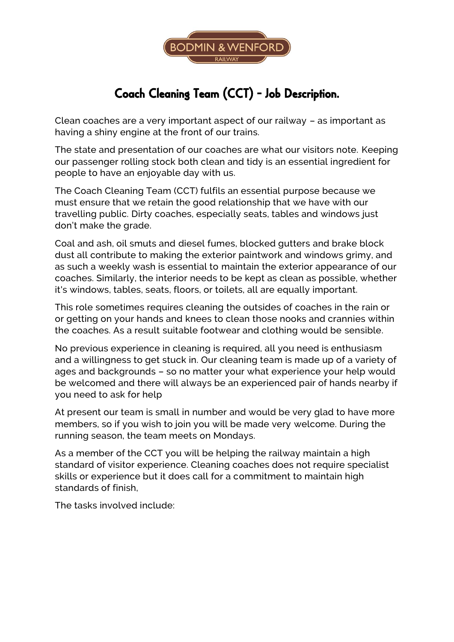

## Coach Cleaning Team (CCT) - Job Description.

Clean coaches are a very important aspect of our railway – as important as having a shiny engine at the front of our trains.

The state and presentation of our coaches are what our visitors note. Keeping our passenger rolling stock both clean and tidy is an essential ingredient for people to have an enjoyable day with us.

The Coach Cleaning Team (CCT) fulfils an essential purpose because we must ensure that we retain the good relationship that we have with our travelling public. Dirty coaches, especially seats, tables and windows just don't make the grade.

Coal and ash, oil smuts and diesel fumes, blocked gutters and brake block dust all contribute to making the exterior paintwork and windows grimy, and as such a weekly wash is essential to maintain the exterior appearance of our coaches. Similarly, the interior needs to be kept as clean as possible, whether it's windows, tables, seats, floors, or toilets, all are equally important.

This role sometimes requires cleaning the outsides of coaches in the rain or or getting on your hands and knees to clean those nooks and crannies within the coaches. As a result suitable footwear and clothing would be sensible.

No previous experience in cleaning is required, all you need is enthusiasm and a willingness to get stuck in. Our cleaning team is made up of a variety of ages and backgrounds – so no matter your what experience your help would be welcomed and there will always be an experienced pair of hands nearby if you need to ask for help

At present our team is small in number and would be very glad to have more members, so if you wish to join you will be made very welcome. During the running season, the team meets on Mondays.

As a member of the CCT you will be helping the railway maintain a high standard of visitor experience. Cleaning coaches does not require specialist skills or experience but it does call for a commitment to maintain high standards of finish,

The tasks involved include: